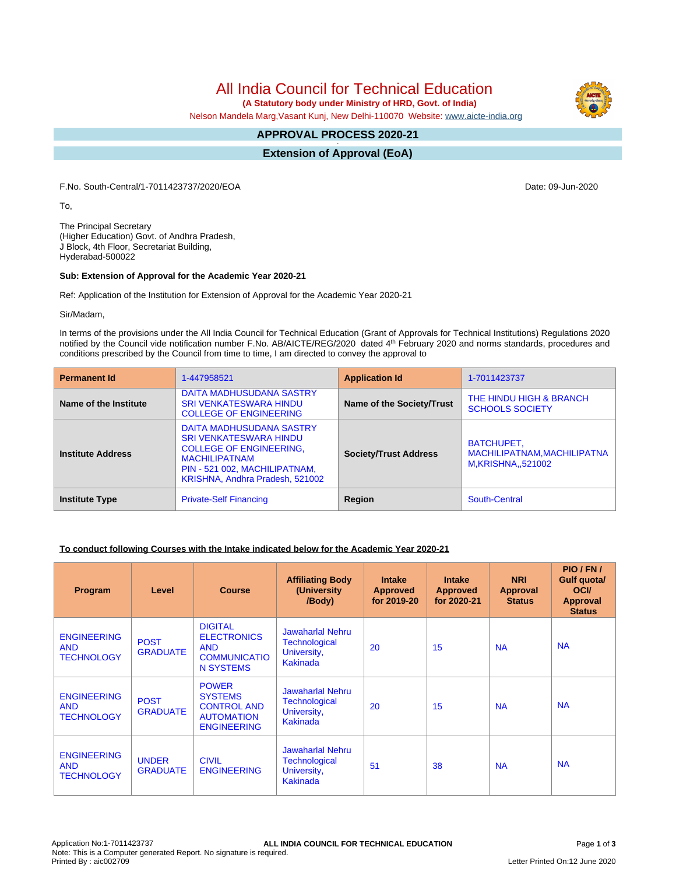# All India Council for Technical Education

 **(A Statutory body under Ministry of HRD, Govt. of India)**

Nelson Mandela Marg,Vasant Kunj, New Delhi-110070 Website: [www.aicte-india.org](http://www.aicte-india.org)

#### **APPROVAL PROCESS 2020-21 -**

**Extension of Approval (EoA)**

F.No. South-Central/1-7011423737/2020/EOA Date: 09-Jun-2020

To,

The Principal Secretary (Higher Education) Govt. of Andhra Pradesh, J Block, 4th Floor, Secretariat Building, Hyderabad-500022

#### **Sub: Extension of Approval for the Academic Year 2020-21**

Ref: Application of the Institution for Extension of Approval for the Academic Year 2020-21

Sir/Madam,

In terms of the provisions under the All India Council for Technical Education (Grant of Approvals for Technical Institutions) Regulations 2020 notified by the Council vide notification number F.No. AB/AICTE/REG/2020 dated 4<sup>th</sup> February 2020 and norms standards, procedures and conditions prescribed by the Council from time to time, I am directed to convey the approval to

| <b>Permanent Id</b>      | 1-447958521                                                                                                                                                                             | <b>Application Id</b>        | 1-7011423737                                                           |
|--------------------------|-----------------------------------------------------------------------------------------------------------------------------------------------------------------------------------------|------------------------------|------------------------------------------------------------------------|
| Name of the Institute    | DAITA MADHUSUDANA SASTRY<br><b>SRI VENKATESWARA HINDU</b><br><b>COLLEGE OF ENGINEERING</b>                                                                                              | Name of the Society/Trust    | THE HINDU HIGH & BRANCH<br><b>SCHOOLS SOCIETY</b>                      |
| <b>Institute Address</b> | DAITA MADHUSUDANA SASTRY<br><b>SRI VENKATESWARA HINDU</b><br><b>COLLEGE OF ENGINEERING.</b><br><b>MACHILIPATNAM</b><br>PIN - 521 002, MACHILIPATNAM,<br>KRISHNA, Andhra Pradesh, 521002 | <b>Society/Trust Address</b> | <b>BATCHUPET,</b><br>MACHILIPATNAM, MACHILIPATNA<br>M, KRISHNA, 521002 |
| <b>Institute Type</b>    | <b>Private-Self Financing</b>                                                                                                                                                           | Region                       | South-Central                                                          |

### **To conduct following Courses with the Intake indicated below for the Academic Year 2020-21**

| Program                                               | Level                           | <b>Course</b>                                                                                   | <b>Affiliating Body</b><br>(University)<br>/Body)                                 | <b>Intake</b><br><b>Approved</b><br>for 2019-20 | <b>Intake</b><br><b>Approved</b><br>for 2020-21 | <b>NRI</b><br>Approval<br><b>Status</b> | PIO / FN /<br>Gulf quota/<br><b>OCI</b><br><b>Approval</b><br><b>Status</b> |
|-------------------------------------------------------|---------------------------------|-------------------------------------------------------------------------------------------------|-----------------------------------------------------------------------------------|-------------------------------------------------|-------------------------------------------------|-----------------------------------------|-----------------------------------------------------------------------------|
| <b>ENGINEERING</b><br><b>AND</b><br><b>TECHNOLOGY</b> | <b>POST</b><br><b>GRADUATE</b>  | <b>DIGITAL</b><br><b>ELECTRONICS</b><br><b>AND</b><br><b>COMMUNICATIO</b><br><b>N SYSTEMS</b>   | <b>Jawaharlal Nehru</b><br><b>Technological</b><br>University,<br><b>Kakinada</b> | 20                                              | 15                                              | <b>NA</b>                               | <b>NA</b>                                                                   |
| <b>ENGINEERING</b><br><b>AND</b><br><b>TECHNOLOGY</b> | <b>POST</b><br><b>GRADUATE</b>  | <b>POWER</b><br><b>SYSTEMS</b><br><b>CONTROL AND</b><br><b>AUTOMATION</b><br><b>ENGINEERING</b> | <b>Jawaharlal Nehru</b><br><b>Technological</b><br>University,<br><b>Kakinada</b> | 20                                              | 15                                              | <b>NA</b>                               | <b>NA</b>                                                                   |
| <b>ENGINEERING</b><br><b>AND</b><br><b>TECHNOLOGY</b> | <b>UNDER</b><br><b>GRADUATE</b> | <b>CIVIL</b><br><b>ENGINEERING</b>                                                              | <b>Jawaharlal Nehru</b><br>Technological<br>University,<br>Kakinada               | 51                                              | 38                                              | <b>NA</b>                               | <b>NA</b>                                                                   |

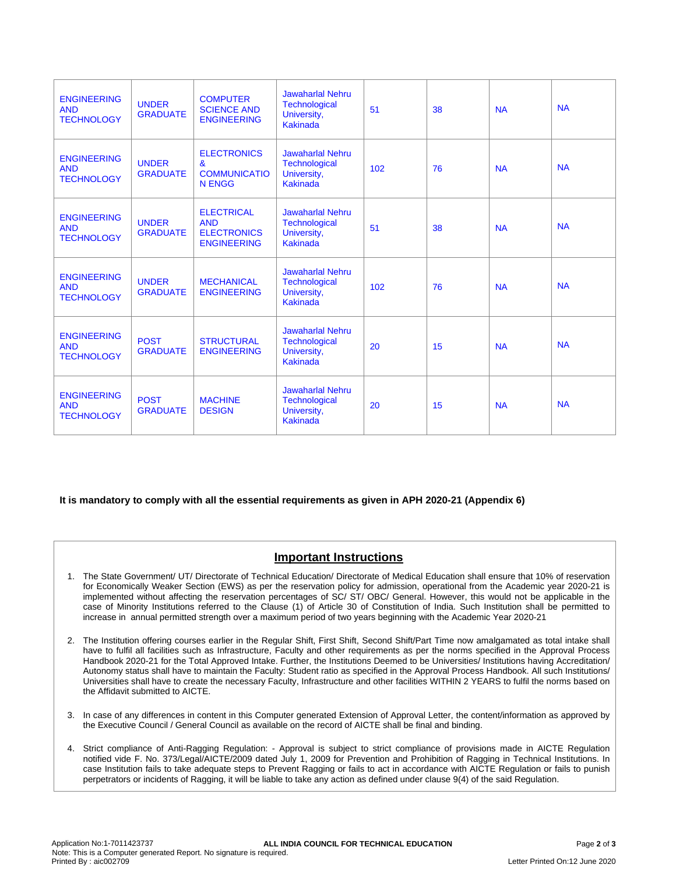| <b>ENGINEERING</b><br><b>AND</b><br><b>TECHNOLOGY</b> | <b>UNDER</b><br><b>GRADUATE</b> | <b>COMPUTER</b><br><b>SCIENCE AND</b><br><b>ENGINEERING</b>                 | <b>Jawaharlal Nehru</b><br><b>Technological</b><br>University,<br><b>Kakinada</b> | 51  | 38 | <b>NA</b> | <b>NA</b> |
|-------------------------------------------------------|---------------------------------|-----------------------------------------------------------------------------|-----------------------------------------------------------------------------------|-----|----|-----------|-----------|
| <b>ENGINEERING</b><br><b>AND</b><br><b>TECHNOLOGY</b> | <b>UNDER</b><br><b>GRADUATE</b> | <b>ELECTRONICS</b><br>$\mathbf{a}$<br><b>COMMUNICATIO</b><br><b>N ENGG</b>  | <b>Jawaharlal Nehru</b><br><b>Technological</b><br>University,<br><b>Kakinada</b> | 102 | 76 | <b>NA</b> | <b>NA</b> |
| <b>ENGINEERING</b><br><b>AND</b><br><b>TECHNOLOGY</b> | <b>UNDER</b><br><b>GRADUATE</b> | <b>ELECTRICAL</b><br><b>AND</b><br><b>ELECTRONICS</b><br><b>ENGINEERING</b> | <b>Jawaharlal Nehru</b><br><b>Technological</b><br>University,<br><b>Kakinada</b> | 51  | 38 | <b>NA</b> | <b>NA</b> |
| <b>ENGINEERING</b><br><b>AND</b><br><b>TECHNOLOGY</b> | <b>UNDER</b><br><b>GRADUATE</b> | <b>MECHANICAL</b><br><b>ENGINEERING</b>                                     | <b>Jawaharlal Nehru</b><br><b>Technological</b><br>University,<br><b>Kakinada</b> | 102 | 76 | <b>NA</b> | <b>NA</b> |
| <b>ENGINEERING</b><br><b>AND</b><br><b>TECHNOLOGY</b> | <b>POST</b><br><b>GRADUATE</b>  | <b>STRUCTURAL</b><br><b>ENGINEERING</b>                                     | <b>Jawaharlal Nehru</b><br><b>Technological</b><br>University,<br><b>Kakinada</b> | 20  | 15 | <b>NA</b> | <b>NA</b> |
| <b>ENGINEERING</b><br><b>AND</b><br><b>TECHNOLOGY</b> | <b>POST</b><br><b>GRADUATE</b>  | <b>MACHINE</b><br><b>DESIGN</b>                                             | <b>Jawaharlal Nehru</b><br><b>Technological</b><br>University,<br><b>Kakinada</b> | 20  | 15 | <b>NA</b> | <b>NA</b> |

### **It is mandatory to comply with all the essential requirements as given in APH 2020-21 (Appendix 6)**

## **Important Instructions**

- 1. The State Government/ UT/ Directorate of Technical Education/ Directorate of Medical Education shall ensure that 10% of reservation for Economically Weaker Section (EWS) as per the reservation policy for admission, operational from the Academic year 2020-21 is implemented without affecting the reservation percentages of SC/ ST/ OBC/ General. However, this would not be applicable in the case of Minority Institutions referred to the Clause (1) of Article 30 of Constitution of India. Such Institution shall be permitted to increase in annual permitted strength over a maximum period of two years beginning with the Academic Year 2020-21
- 2. The Institution offering courses earlier in the Regular Shift, First Shift, Second Shift/Part Time now amalgamated as total intake shall have to fulfil all facilities such as Infrastructure, Faculty and other requirements as per the norms specified in the Approval Process Handbook 2020-21 for the Total Approved Intake. Further, the Institutions Deemed to be Universities/ Institutions having Accreditation/ Autonomy status shall have to maintain the Faculty: Student ratio as specified in the Approval Process Handbook. All such Institutions/ Universities shall have to create the necessary Faculty, Infrastructure and other facilities WITHIN 2 YEARS to fulfil the norms based on the Affidavit submitted to AICTE.
- 3. In case of any differences in content in this Computer generated Extension of Approval Letter, the content/information as approved by the Executive Council / General Council as available on the record of AICTE shall be final and binding.
- 4. Strict compliance of Anti-Ragging Regulation: Approval is subject to strict compliance of provisions made in AICTE Regulation notified vide F. No. 373/Legal/AICTE/2009 dated July 1, 2009 for Prevention and Prohibition of Ragging in Technical Institutions. In case Institution fails to take adequate steps to Prevent Ragging or fails to act in accordance with AICTE Regulation or fails to punish perpetrators or incidents of Ragging, it will be liable to take any action as defined under clause 9(4) of the said Regulation.